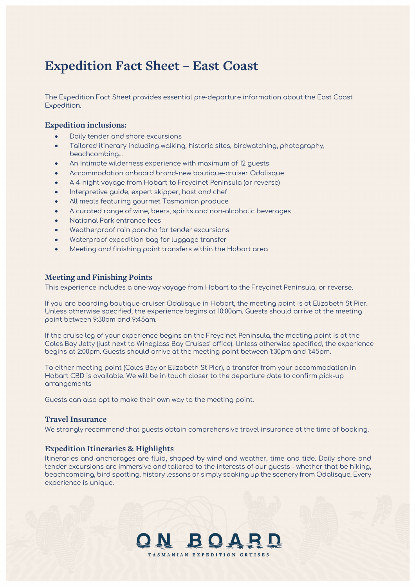# **Expedition Fact Sheet – East Coast**

The Expedition Fact Sheet provides essential pre-departure information about the East Coast Expedition.

# **Expedition inclusions:**

- Daily tender and shore excursions
- Tailored itinerary including walking, historic sites, birdwatching, photography, beachcombing...
- An Intimate wilderness experience with maximum of 12 guests
- Accommodation onboard brand-new boutique-cruiser Odalisque
- A 4-night voyage from Hobart to Freycinet Peninsula (or reverse)
- Interpretive guide, expert skipper, host and chef
- All meals featuring gourmet Tasmanian produce
- A curated range of wine, beers, spirits and non-alcoholic beverages
- National Park entrance fees
- Weatherproof rain poncho for tender excursions
- Waterproof expedition bag for luggage transfer
- Meeting and finishing point transfers within the Hobart area

## **Meeting and Finishing Points**

This experience includes a one-way voyage from Hobart to the Freycinet Peninsula, or reverse.

If you are boarding boutique-cruiser Odalisque in Hobart, the meeting point is at Elizabeth St Pier. Unless otherwise specified, the experience begins at 10:00am. Guests should arrive at the meeting point between 9:30am and 9:45am.

If the cruise leg of your experience begins on the Freycinet Peninsula, the meeting point is at the Coles Bay Jetty (just next to Wineglass Bay Cruises' office). Unless otherwise specified, the experience begins at 2:00pm. Guests should arrive at the meeting point between 1:30pm and 1:45pm.

To either meeting point (Coles Bay or Elizabeth St Pier), a transfer from your accommodation in Hobart CBD is available. We will be in touch closer to the departure date to confirm pick-up arrangements

Guests can also opt to make their own way to the meeting point.

#### **Travel Insurance**

We strongly recommend that guests obtain comprehensive travel insurance at the time of booking.

## **Expedition Itineraries & Highlights**

Itineraries and anchorages are fluid, shaped by wind and weather, time and tide. Daily shore and tender excursions are immersive and tailored to the interests of our guests – whether that be hiking, beachcombing, bird spotting, history lessons or simply soaking up the scenery from Odalisque. Every experience is unique.

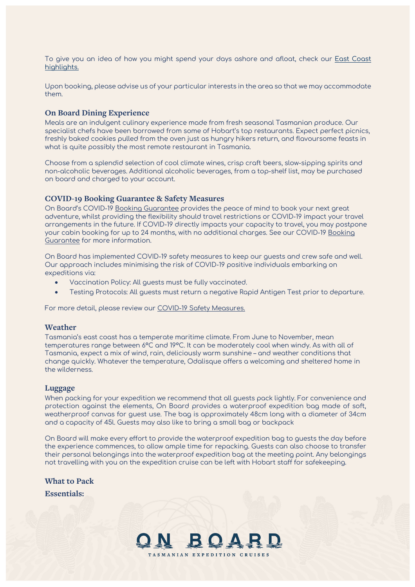To give you an idea of how you might spend your days ashore and afloat, check our [East Coast](https://onboardexpeditions.com.au/east-coast-and-tasman-peninsula/) [highlights.](https://onboardexpeditions.com.au/east-coast-and-tasman-peninsula/)

Upon booking, please advise us of your particular interests in the area so that we may accommodate them.

## **On Board Dining Experience**

Meals are an indulgent culinary experience made from fresh seasonal Tasmanian produce. Our specialist chefs have been borrowed from some of Hobart's top restaurants. Expect perfect picnics, freshly baked cookies pulled from the oven just as hungry hikers return, and flavoursome feasts in what is quite possibly the most remote restaurant in Tasmania.

Choose from a splendid selection of cool climate wines, crisp craft beers, slow-sipping spirits and non-alcoholic beverages. Additional alcoholic beverages, from a top-shelf list, may be purchased on board and charged to your account.

## **COVID-19 Booking Guarantee & Safety Measures**

On Board's COVID-19 [Booking Guarantee](https://onboardexpeditions.com.au/terms-and-conditions/) provides the peace of mind to book your next great adventure, whilst providing the flexibility should travel restrictions or COVID-19 impact your travel arrangements in the future. If COVID-19 directly impacts your capacity to travel, you may postpone your cabin booking for up to 24 months, with no additional charges. See our COVID-19 [Booking](https://onboardexpeditions.com.au/terms-and-conditions/)  [Guarantee](https://onboardexpeditions.com.au/terms-and-conditions/) for more information.

On Board has implemented COVID-19 safety measures to keep our guests and crew safe and well. Our approach includes minimising the risk of COVID-19 positive individuals embarking on expeditions via:

- Vaccination Policy: All guests must be fully vaccinated.
- Testing Protocols: All guests must return a negative Rapid Antigen Test prior to departure.

For more detail, please review our [COVID-19 Safety Measures.](https://onboardexpeditions.com.au/frequently-asked-questions/)

### **Weather**

Tasmania's east coast has a temperate maritime climate. From June to November, mean temperatures range between 6°C and 19°C. It can be moderately cool when windy. As with all of Tasmania, expect a mix of wind, rain, deliciously warm sunshine – and weather conditions that change quickly. Whatever the temperature, Odalisque offers a welcoming and sheltered home in the wilderness.

#### **Luggage**

When packing for your expedition we recommend that all guests pack lightly. For convenience and protection against the elements, On Board provides a waterproof expedition bag made of soft, weatherproof canvas for guest use. The bag is approximately 48cm long with a diameter of 34cm and a capacity of 45l. Guests may also like to bring a small bag or backpack

On Board will make every effort to provide the waterproof expedition bag to guests the day before the experience commences, to allow ample time for repacking. Guests can also choose to transfer their personal belongings into the waterproof expedition bag at the meeting point. Any belongings not travelling with you on the expedition cruise can be left with Hobart staff for safekeeping.

#### **What to Pack**

**Essentials:**

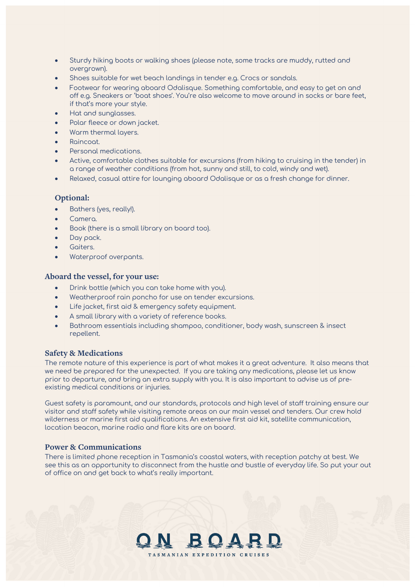- Sturdy hiking boots or walking shoes (please note, some tracks are muddy, rutted and overgrown).
- Shoes suitable for wet beach landings in tender e.g. Crocs or sandals.
- Footwear for wearing aboard Odalisque. Something comfortable, and easy to get on and off e.g. Sneakers or 'boat shoes'. You're also welcome to move around in socks or bare feet, if that's more your style.
- Hat and sunglasses.
- Polar fleece or down jacket.
- Warm thermal layers.
- Raincoat.
- Personal medications.
- Active, comfortable clothes suitable for excursions (from hiking to cruising in the tender) in a range of weather conditions (from hot, sunny and still, to cold, windy and wet).
- Relaxed, casual attire for lounging aboard Odalisque or as a fresh change for dinner.

# **Optional:**

- Bathers (yes, really!).
- Camera.
- Book (there is a small library on board too).
- Day pack.
- Gaiters.
- Waterproof overpants.

## **Aboard the vessel, for your use:**

- Drink bottle (which you can take home with you).
- Weatherproof rain poncho for use on tender excursions.
- Life jacket, first aid & emergency safety equipment.
- A small library with a variety of reference books.
- Bathroom essentials including shampoo, conditioner, body wash, sunscreen & insect repellent.

# **Safety & Medications**

The remote nature of this experience is part of what makes it a great adventure. It also means that we need be prepared for the unexpected. If you are taking any medications, please let us know prior to departure, and bring an extra supply with you. It is also important to advise us of preexisting medical conditions or injuries.

Guest safety is paramount, and our standards, protocols and high level of staff training ensure our visitor and staff safety while visiting remote areas on our main vessel and tenders. Our crew hold wilderness or marine first aid qualifications. An extensive first aid kit, satellite communication, location beacon, marine radio and flare kits are on board.

# **Power & Communications**

There is limited phone reception in Tasmania's coastal waters, with reception patchy at best. We see this as an opportunity to disconnect from the hustle and bustle of everyday life. So put your out of office on and get back to what's really important.